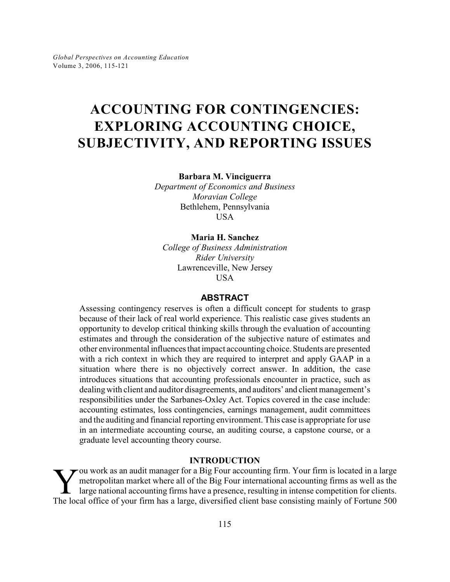# **ACCOUNTING FOR CONTINGENCIES: EXPLORING ACCOUNTING CHOICE, SUBJECTIVITY, AND REPORTING ISSUES**

**Barbara M. Vinciguerra**

*Department of Economics and Business Moravian College* Bethlehem, Pennsylvania USA

#### **Maria H. Sanchez**

*College of Business Administration Rider University* Lawrenceville, New Jersey **USA** 

#### **ABSTRACT**

Assessing contingency reserves is often a difficult concept for students to grasp because of their lack of real world experience. This realistic case gives students an opportunity to develop critical thinking skills through the evaluation of accounting estimates and through the consideration of the subjective nature of estimates and other environmental influences that impact accounting choice. Students are presented with a rich context in which they are required to interpret and apply GAAP in a situation where there is no objectively correct answer. In addition, the case introduces situations that accounting professionals encounter in practice, such as dealing with client and auditor disagreements, and auditors' and client management's responsibilities under the Sarbanes-Oxley Act. Topics covered in the case include: accounting estimates, loss contingencies, earnings management, audit committees and the auditing and financial reporting environment.This case is appropriate for use in an intermediate accounting course, an auditing course, a capstone course, or a graduate level accounting theory course.

## **INTRODUCTION**

The local office of your firm has a large, diversified client base consisting mainly of Fortune 500 and accounting firms as well as the large national accounting firms have a presence, resulting in intense competition for  $\rightarrow$  ou work as an audit manager for a Big Four accounting firm. Your firm is located in a large metropolitan market where all of the Big Four international accounting firms as well as the large national accounting firms have a presence, resulting in intense competition for clients.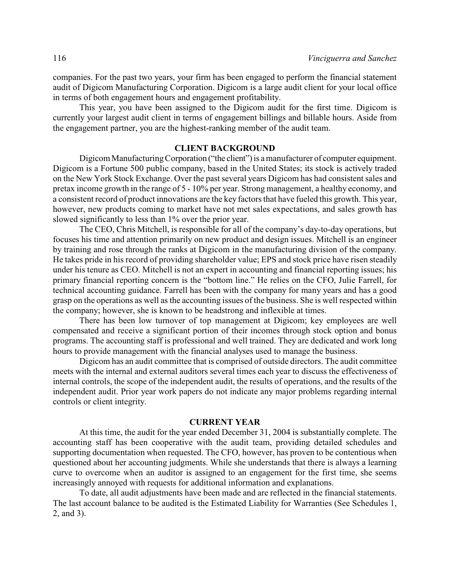companies. For the past two years, your firm has been engaged to perform the financial statement audit of Digicom Manufacturing Corporation. Digicom is a large audit client for your local office in terms of both engagement hours and engagement profitability.

This year, you have been assigned to the Digicom audit for the first time. Digicom is currently your largest audit client in terms of engagement billings and billable hours. Aside from the engagement partner, you are the highest-ranking member of the audit team.

#### **CLIENT BACKGROUND**

Digicom Manufacturing Corporation ("the client") is a manufacturer of computer equipment. Digicom is a Fortune 500 public company, based in the United States; its stock is actively traded on the New York Stock Exchange. Over the past several years Digicom has had consistent sales and pretax income growth in the range of 5 - 10% per year. Strong management, a healthy economy, and a consistent record of product innovations are the key factors that have fueled this growth. This year, however, new products coming to market have not met sales expectations, and sales growth has slowed significantly to less than 1% over the prior year.

The CEO, Chris Mitchell, is responsible for all of the company's day-to-day operations, but focuses his time and attention primarily on new product and design issues. Mitchell is an engineer by training and rose through the ranks at Digicom in the manufacturing division of the company. He takes pride in his record of providing shareholder value; EPS and stock price have risen steadily under his tenure as CEO. Mitchell is not an expert in accounting and financial reporting issues; his primary financial reporting concern is the "bottom line." He relies on the CFO, Julie Farrell, for technical accounting guidance. Farrell has been with the company for many years and has a good grasp on the operations as well as the accounting issues of the business. She is well respected within the company; however, she is known to be headstrong and inflexible at times.

There has been low turnover of top management at Digicom; key employees are well compensated and receive a significant portion of their incomes through stock option and bonus programs. The accounting staff is professional and well trained. They are dedicated and work long hours to provide management with the financial analyses used to manage the business.

Digicom has an audit committee that is comprised of outside directors. The audit committee meets with the internal and external auditors several times each year to discuss the effectiveness of internal controls, the scope of the independent audit, the results of operations, and the results of the independent audit. Prior year work papers do not indicate any major problems regarding internal controls or client integrity.

#### **CURRENT YEAR**

At this time, the audit for the year ended December 31, 2004 is substantially complete. The accounting staff has been cooperative with the audit team, providing detailed schedules and supporting documentation when requested. The CFO, however, has proven to be contentious when questioned about her accounting judgments. While she understands that there is always a learning curve to overcome when an auditor is assigned to an engagement for the first time, she seems increasingly annoyed with requests for additional information and explanations.

To date, all audit adjustments have been made and are reflected in the financial statements. The last account balance to be audited is the Estimated Liability for Warranties (See Schedules 1, 2, and 3).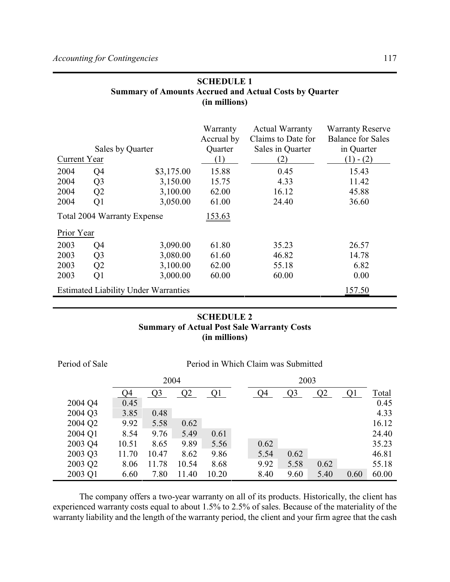|                                    | (in millions)  |                                             |                                   |                                                                  |                                                                   |  |
|------------------------------------|----------------|---------------------------------------------|-----------------------------------|------------------------------------------------------------------|-------------------------------------------------------------------|--|
|                                    |                | Sales by Quarter                            | Warranty<br>Accrual by<br>Quarter | <b>Actual Warranty</b><br>Claims to Date for<br>Sales in Quarter | <b>Warranty Reserve</b><br><b>Balance for Sales</b><br>in Quarter |  |
| Current Year                       |                |                                             | (1)                               | (2)                                                              | $(1) - (2)$                                                       |  |
| 2004                               | Q4             | \$3,175.00                                  | 15.88                             | 0.45                                                             | 15.43                                                             |  |
| 2004                               | Q <sub>3</sub> | 3,150.00                                    | 15.75                             | 4.33                                                             | 11.42                                                             |  |
| 2004                               | Q2             | 3,100.00                                    | 62.00                             | 16.12                                                            | 45.88                                                             |  |
| 2004                               | Q1             | 3,050.00                                    | 61.00                             | 24.40                                                            | 36.60                                                             |  |
| <b>Total 2004 Warranty Expense</b> |                |                                             | <u>153.63</u>                     |                                                                  |                                                                   |  |
| Prior Year                         |                |                                             |                                   |                                                                  |                                                                   |  |
| 2003                               | Q4             | 3,090.00                                    | 61.80                             | 35.23                                                            | 26.57                                                             |  |
| 2003                               | Q <sub>3</sub> | 3,080.00                                    | 61.60                             | 46.82                                                            | 14.78                                                             |  |
| 2003                               | Q2             | 3,100.00                                    | 62.00                             | 55.18                                                            | 6.82                                                              |  |
| 2003                               | Q1             | 3,000.00                                    | 60.00                             | 60.00                                                            | 0.00                                                              |  |
|                                    |                | <b>Estimated Liability Under Warranties</b> |                                   |                                                                  | 157.50                                                            |  |

# **SCHEDULE 1 Summary of Amounts Accrued and Actual Costs by Quarter (in millions)**

# **SCHEDULE 2 Summary of Actual Post Sale Warranty Costs (in millions)**

| Period of Sale | Period in Which Claim was Submitted |                |                |       |      |      |                |      |      |              |
|----------------|-------------------------------------|----------------|----------------|-------|------|------|----------------|------|------|--------------|
|                | 2004                                |                |                |       | 2003 |      |                |      |      |              |
|                | Q4                                  | Q <sub>3</sub> | Q <sub>2</sub> |       |      | Q4   | Q <sub>3</sub> | Q2   |      | <b>Total</b> |
| 2004 Q4        | 0.45                                |                |                |       |      |      |                |      |      | 0.45         |
| 2004 Q3        | 3.85                                | 0.48           |                |       |      |      |                |      |      | 4.33         |
| 2004 Q2        | 9.92                                | 5.58           | 0.62           |       |      |      |                |      |      | 16.12        |
| 2004 Q1        | 8.54                                | 9.76           | 5.49           | 0.61  |      |      |                |      |      | 24.40        |
| 2003 Q4        | 10.51                               | 8.65           | 9.89           | 5.56  |      | 0.62 |                |      |      | 35.23        |
| 2003 Q3        | 11.70                               | 10.47          | 8.62           | 9.86  |      | 5.54 | 0.62           |      |      | 46.81        |
| 2003 Q2        | 8.06                                | 11.78          | 10.54          | 8.68  |      | 9.92 | 5.58           | 0.62 |      | 55.18        |
| 2003 Q1        | 6.60                                | 7.80           | 11.40          | 10.20 |      | 8.40 | 9.60           | 5.40 | 0.60 | 60.00        |

The company offers a two-year warranty on all of its products. Historically, the client has experienced warranty costs equal to about 1.5% to 2.5% of sales. Because of the materiality of the warranty liability and the length of the warranty period, the client and your firm agree that the cash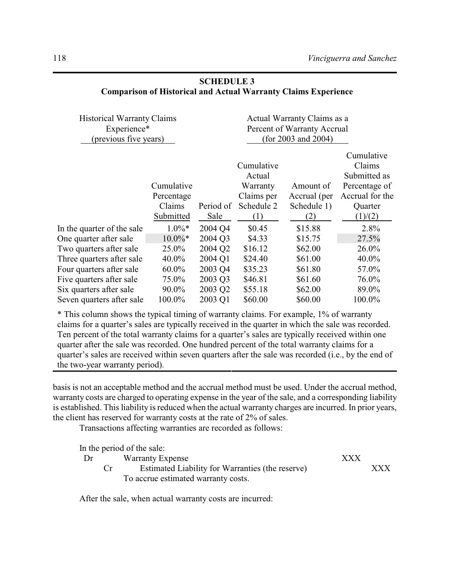| Cumulative<br>Claims<br>Submitted as<br>Percentage of<br>Accrual for the<br>Quarter<br>(1)/(2) |
|------------------------------------------------------------------------------------------------|
| 2.8%                                                                                           |
| 27.5%                                                                                          |
| 26.0%                                                                                          |
| 40.0%                                                                                          |
| 57.0%                                                                                          |
| 76.0%                                                                                          |
| 89.0%                                                                                          |
| 100.0%                                                                                         |
|                                                                                                |

## **SCHEDULE 3 Comparison of Historical and Actual Warranty Claims Experience**

\* This column shows the typical timing of warranty claims. For example, 1% of warranty claims for a quarter's sales are typically received in the quarter in which the sale was recorded. Ten percent of the total warranty claims for a quarter's sales are typically received within one quarter after the sale was recorded. One hundred percent of the total warranty claims for a quarter's sales are received within seven quarters after the sale was recorded (i.e., by the end of the two-year warranty period).

basis is not an acceptable method and the accrual method must be used. Under the accrual method, warranty costs are charged to operating expense in the year of the sale, and a corresponding liability is established. This liability is reduced when the actual warranty charges are incurred. In prior years, the client has reserved for warranty costs at the rate of 2% of sales.

Transactions affecting warranties are recorded as follows:

In the period of the sale:

| Dr | <b>Warranty Expense</b>                          |  |     |
|----|--------------------------------------------------|--|-----|
|    | Estimated Liability for Warranties (the reserve) |  | XXX |
|    | To accrue estimated warranty costs.              |  |     |

After the sale, when actual warranty costs are incurred: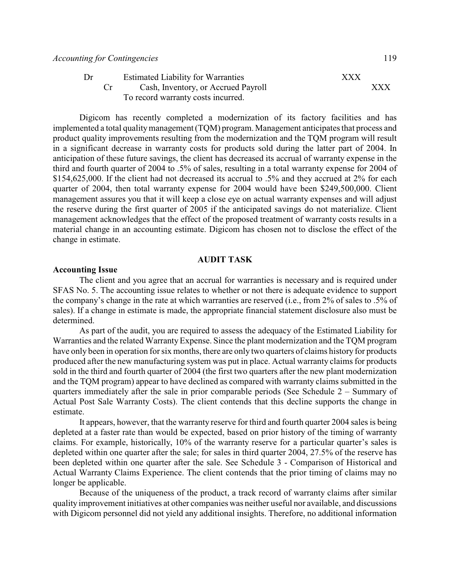| Dr | <b>Estimated Liability for Warranties</b> | XXX |     |
|----|-------------------------------------------|-----|-----|
|    | Cash, Inventory, or Accrued Payroll       |     | XXX |
|    | To record warranty costs incurred.        |     |     |

Digicom has recently completed a modernization of its factory facilities and has implemented a total quality management (TQM) program. Management anticipates that process and product quality improvements resulting from the modernization and the TQM program will result in a significant decrease in warranty costs for products sold during the latter part of 2004. In anticipation of these future savings, the client has decreased its accrual of warranty expense in the third and fourth quarter of 2004 to .5% of sales, resulting in a total warranty expense for 2004 of \$154,625,000. If the client had not decreased its accrual to .5% and they accrued at 2% for each quarter of 2004, then total warranty expense for 2004 would have been \$249,500,000. Client management assures you that it will keep a close eye on actual warranty expenses and will adjust the reserve during the first quarter of 2005 if the anticipated savings do not materialize. Client management acknowledges that the effect of the proposed treatment of warranty costs results in a material change in an accounting estimate. Digicom has chosen not to disclose the effect of the change in estimate.

#### **AUDIT TASK**

#### **Accounting Issue**

The client and you agree that an accrual for warranties is necessary and is required under SFAS No. 5. The accounting issue relates to whether or not there is adequate evidence to support the company's change in the rate at which warranties are reserved (i.e., from 2% of sales to .5% of sales). If a change in estimate is made, the appropriate financial statement disclosure also must be determined.

As part of the audit, you are required to assess the adequacy of the Estimated Liability for Warranties and the related Warranty Expense. Since the plant modernization and the TQM program have only been in operation for six months, there are only two quarters of claims history for products produced after the new manufacturing system was put in place. Actual warranty claims for products sold in the third and fourth quarter of 2004 (the first two quarters after the new plant modernization and the TQM program) appear to have declined as compared with warranty claims submitted in the quarters immediately after the sale in prior comparable periods (See Schedule 2 – Summary of Actual Post Sale Warranty Costs). The client contends that this decline supports the change in estimate.

It appears, however, that the warranty reserve for third and fourth quarter 2004 sales is being depleted at a faster rate than would be expected, based on prior history of the timing of warranty claims. For example, historically, 10% of the warranty reserve for a particular quarter's sales is depleted within one quarter after the sale; for sales in third quarter 2004, 27.5% of the reserve has been depleted within one quarter after the sale. See Schedule 3 - Comparison of Historical and Actual Warranty Claims Experience. The client contends that the prior timing of claims may no longer be applicable.

Because of the uniqueness of the product, a track record of warranty claims after similar quality improvement initiatives at other companies was neither useful nor available, and discussions with Digicom personnel did not yield any additional insights. Therefore, no additional information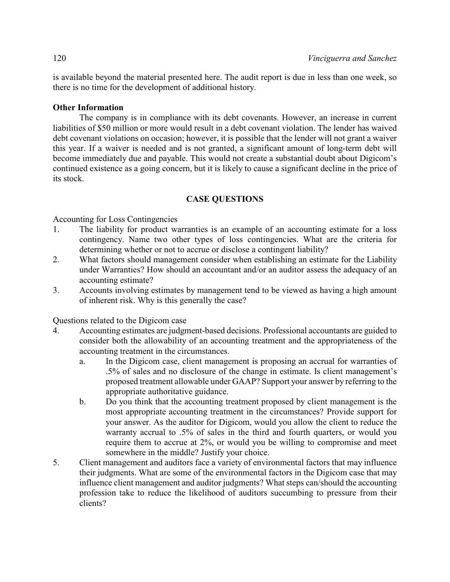is available beyond the material presented here. The audit report is due in less than one week, so there is no time for the development of additional history.

## **Other Information**

The company is in compliance with its debt covenants. However, an increase in current liabilities of \$50 million or more would result in a debt covenant violation. The lender has waived debt covenant violations on occasion; however, it is possible that the lender will not grant a waiver this year. If a waiver is needed and is not granted, a significant amount of long-term debt will become immediately due and payable. This would not create a substantial doubt about Digicom's continued existence as a going concern, but it is likely to cause a significant decline in the price of its stock.

## **CASE QUESTIONS**

Accounting for Loss Contingencies

- 1. The liability for product warranties is an example of an accounting estimate for a loss contingency. Name two other types of loss contingencies. What are the criteria for determining whether or not to accrue or disclose a contingent liability?
- 2. What factors should management consider when establishing an estimate for the Liability under Warranties? How should an accountant and/or an auditor assess the adequacy of an accounting estimate?
- 3. Accounts involving estimates by management tend to be viewed as having a high amount of inherent risk. Why is this generally the case?

Questions related to the Digicom case

- 4. Accounting estimates are judgment-based decisions. Professional accountants are guided to consider both the allowability of an accounting treatment and the appropriateness of the accounting treatment in the circumstances.
	- a. In the Digicom case, client management is proposing an accrual for warranties of .5% of sales and no disclosure of the change in estimate. Is client management's proposed treatment allowable under GAAP? Support your answer by referring to the appropriate authoritative guidance.
	- b. Do you think that the accounting treatment proposed by client management is the most appropriate accounting treatment in the circumstances? Provide support for your answer. As the auditor for Digicom, would you allow the client to reduce the warranty accrual to .5% of sales in the third and fourth quarters, or would you require them to accrue at 2%, or would you be willing to compromise and meet somewhere in the middle? Justify your choice.
- 5. Client management and auditors face a variety of environmental factors that may influence their judgments. What are some of the environmental factors in the Digicom case that may influence client management and auditor judgments? What steps can/should the accounting profession take to reduce the likelihood of auditors succumbing to pressure from their clients?